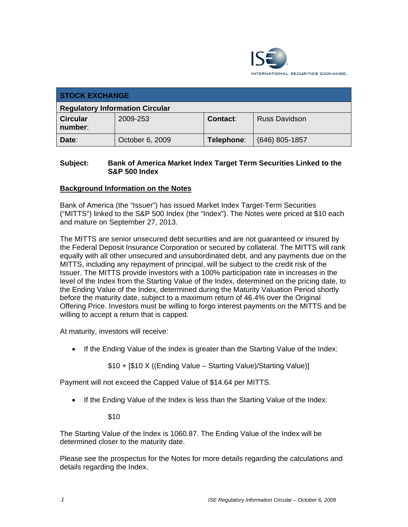

| <b>STOCK EXCHANGE</b>                  |                 |            |                      |  |
|----------------------------------------|-----------------|------------|----------------------|--|
| <b>Regulatory Information Circular</b> |                 |            |                      |  |
| <b>Circular</b><br>number:             | 2009-253        | Contact:   | <b>Russ Davidson</b> |  |
| Date:                                  | October 6, 2009 | Telephone: | $(646)$ 805-1857     |  |

#### **Subject: Bank of America Market Index Target Term Securities Linked to the S&P 500 Index**

## **Background Information on the Notes**

Bank of America (the "Issuer") has issued Market Index Target-Term Securities ("MITTS") linked to the S&P 500 Index (the "Index"). The Notes were priced at \$10 each and mature on September 27, 2013.

The MITTS are senior unsecured debt securities and are not guaranteed or insured by the Federal Deposit Insurance Corporation or secured by collateral. The MITTS will rank equally with all other unsecured and unsubordinated debt, and any payments due on the MITTS, including any repayment of principal, will be subject to the credit risk of the Issuer. The MITTS provide investors with a 100% participation rate in increases in the level of the Index from the Starting Value of the Index, determined on the pricing date, to the Ending Value of the Index, determined during the Maturity Valuation Period shortly before the maturity date, subject to a maximum return of 46.4% over the Original Offering Price. Investors must be willing to forgo interest payments on the MITTS and be willing to accept a return that is capped.

At maturity, investors will receive:

• If the Ending Value of the Index is greater than the Starting Value of the Index:

\$10 + [\$10 X ((Ending Value – Starting Value)/Starting Value)]

Payment will not exceed the Capped Value of \$14.64 per MITTS.

• If the Ending Value of the Index is less than the Starting Value of the Index:

\$10

The Starting Value of the Index is 1060.87. The Ending Value of the Index will be determined closer to the maturity date.

Please see the prospectus for the Notes for more details regarding the calculations and details regarding the Index.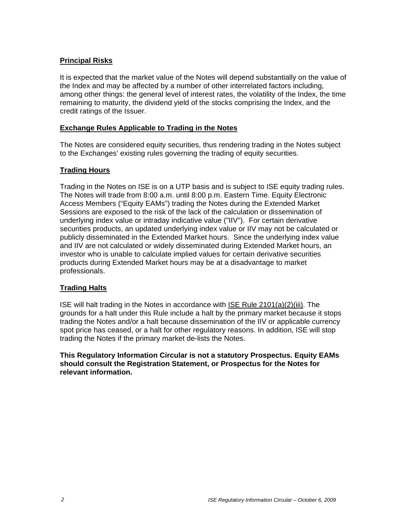#### **Principal Risks**

It is expected that the market value of the Notes will depend substantially on the value of the Index and may be affected by a number of other interrelated factors including, among other things: the general level of interest rates, the volatility of the Index, the time remaining to maturity, the dividend yield of the stocks comprising the Index, and the credit ratings of the Issuer.

#### **Exchange Rules Applicable to Trading in the Notes**

The Notes are considered equity securities, thus rendering trading in the Notes subject to the Exchanges' existing rules governing the trading of equity securities.

## **Trading Hours**

Trading in the Notes on ISE is on a UTP basis and is subject to ISE equity trading rules. The Notes will trade from 8:00 a.m. until 8:00 p.m. Eastern Time. Equity Electronic Access Members ("Equity EAMs") trading the Notes during the Extended Market Sessions are exposed to the risk of the lack of the calculation or dissemination of underlying index value or intraday indicative value ("IIV"). For certain derivative securities products, an updated underlying index value or IIV may not be calculated or publicly disseminated in the Extended Market hours. Since the underlying index value and IIV are not calculated or widely disseminated during Extended Market hours, an investor who is unable to calculate implied values for certain derivative securities products during Extended Market hours may be at a disadvantage to market professionals.

# **Trading Halts**

ISE will halt trading in the Notes in accordance with ISE Rule 2101(a)(2)(iii). The grounds for a halt under this Rule include a halt by the primary market because it stops trading the Notes and/or a halt because dissemination of the IIV or applicable currency spot price has ceased, or a halt for other regulatory reasons. In addition, ISE will stop trading the Notes if the primary market de-lists the Notes.

**This Regulatory Information Circular is not a statutory Prospectus. Equity EAMs should consult the Registration Statement, or Prospectus for the Notes for relevant information.**